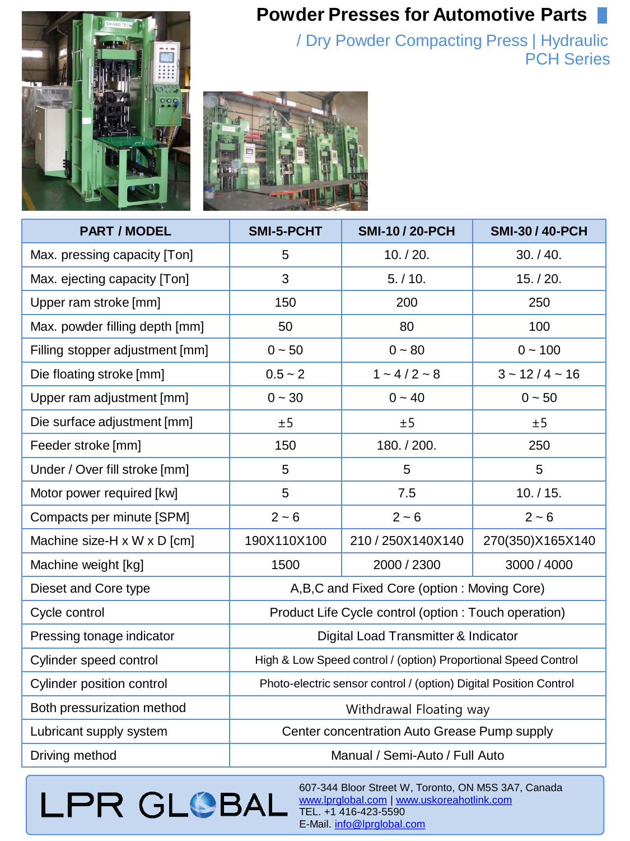## **Powder Presses for Automotive Parts**



/ Dry Powder Compacting Press | Hydraulic **PCH** Series



| <b>PART / MODEL</b>             | <b>SMI-5-PCHT</b>                                                 | <b>SMI-10 / 20-PCH</b> | <b>SMI-30 / 40-PCH</b> |
|---------------------------------|-------------------------------------------------------------------|------------------------|------------------------|
| Max. pressing capacity [Ton]    | 5                                                                 | 10. / 20.              | 30. / 40.              |
| Max. ejecting capacity [Ton]    | 3                                                                 | 5. / 10.               | 15. / 20.              |
| Upper ram stroke [mm]           | 150                                                               | 200                    | 250                    |
| Max. powder filling depth [mm]  | 50                                                                | 80                     | 100                    |
| Filling stopper adjustment [mm] | $0 - 50$                                                          | $0 - 80$               | $0 - 100$              |
| Die floating stroke [mm]        | $0.5 - 2$                                                         | $1 - 4/2 - 8$          | $3 - 12/4 - 16$        |
| Upper ram adjustment [mm]       | $0 - 30$                                                          | $0 - 40$               | $0 - 50$               |
| Die surface adjustment [mm]     | ±5                                                                | ±5                     | ±5                     |
| Feeder stroke [mm]              | 150                                                               | 180. / 200.            | 250                    |
| Under / Over fill stroke [mm]   | 5                                                                 | 5                      | 5                      |
| Motor power required [kw]       | 5                                                                 | 7.5                    | 10. / 15.              |
| Compacts per minute [SPM]       | $2 - 6$                                                           | $2 - 6$                | $2 - 6$                |
| Machine size-H x W x D [cm]     | 190X110X100                                                       | 210 / 250X140X140      | 270(350)X165X140       |
| Machine weight [kg]             | 1500                                                              | 2000 / 2300            | 3000 / 4000            |
| Dieset and Core type            | A, B, C and Fixed Core (option: Moving Core)                      |                        |                        |
| Cycle control                   | Product Life Cycle control (option: Touch operation)              |                        |                        |
| Pressing tonage indicator       | Digital Load Transmitter & Indicator                              |                        |                        |
| Cylinder speed control          | High & Low Speed control / (option) Proportional Speed Control    |                        |                        |
| Cylinder position control       | Photo-electric sensor control / (option) Digital Position Control |                        |                        |
| Both pressurization method      | Withdrawal Floating way                                           |                        |                        |
| Lubricant supply system         | Center concentration Auto Grease Pump supply                      |                        |                        |
| Driving method                  | Manual / Semi-Auto / Full Auto                                    |                        |                        |

## **LPR GLOBAL**

607-344 Bloor Street W, Toronto, ON M5S 3A7, Canada www.lprglobal.com | [www.uskoreahotlink.com](http://www.uskoreahotlink.com/) TEL. +1 416-423-5590 E-Mail. [info@lprglobal.com](mailto:info@lprglobal.com)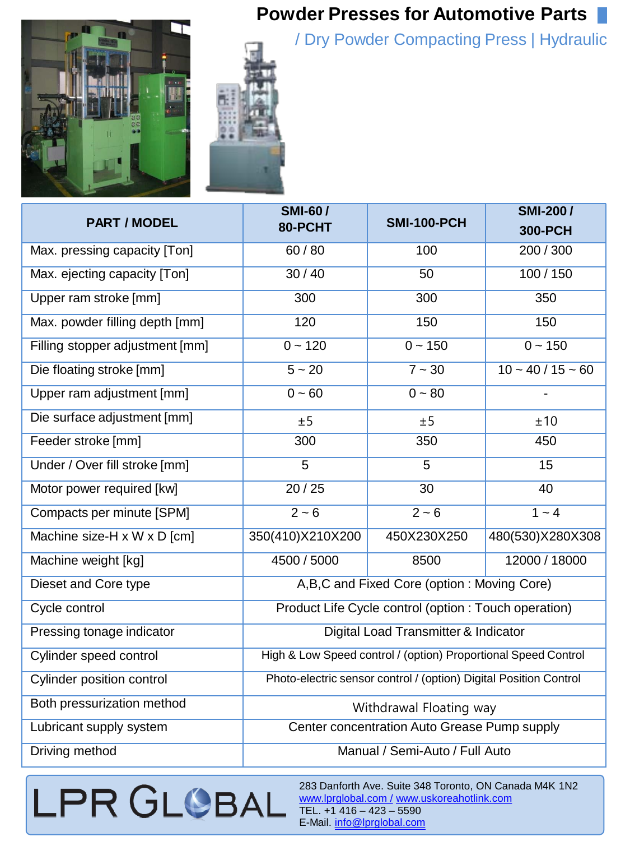## **Powder Presses for Automotive Parts**

/ D ry Powder Compacting Press | Hydraulic





| <b>PART / MODEL</b>             | <b>SMI-60/</b><br>80-PCHT                                         | <b>SMI-100-PCH</b> | <b>SMI-200/</b><br><b>300-PCH</b> |
|---------------------------------|-------------------------------------------------------------------|--------------------|-----------------------------------|
| Max. pressing capacity [Ton]    | 60/80                                                             | 100                | 200 / 300                         |
| Max. ejecting capacity [Ton]    | 30/40                                                             | 50                 | 100/150                           |
| Upper ram stroke [mm]           | 300                                                               | 300                | 350                               |
| Max. powder filling depth [mm]  | 120                                                               | 150                | 150                               |
| Filling stopper adjustment [mm] | $0 - 120$                                                         | $0 - 150$          | $0 - 150$                         |
| Die floating stroke [mm]        | $5 - 20$                                                          | $7 - 30$           | $10 - 40 / 15 - 60$               |
| Upper ram adjustment [mm]       | $0 - 60$                                                          | $0 - 80$           |                                   |
| Die surface adjustment [mm]     | ±5                                                                | ±5                 | ±10                               |
| Feeder stroke [mm]              | 300                                                               | 350                | 450                               |
| Under / Over fill stroke [mm]   | $\overline{5}$                                                    | $\overline{5}$     | 15                                |
| Motor power required [kw]       | 20/25                                                             | 30                 | 40                                |
| Compacts per minute [SPM]       | $2 - 6$                                                           | $2 - 6$            | $1 - 4$                           |
| Machine size-H x W x D [cm]     | 350(410)X210X200                                                  | 450X230X250        | 480(530)X280X308                  |
| Machine weight [kg]             | 4500 / 5000                                                       | 8500               | 12000 / 18000                     |
| Dieset and Core type            | A,B,C and Fixed Core (option: Moving Core)                        |                    |                                   |
| Cycle control                   | Product Life Cycle control (option : Touch operation)             |                    |                                   |
| Pressing tonage indicator       | Digital Load Transmitter & Indicator                              |                    |                                   |
| Cylinder speed control          | High & Low Speed control / (option) Proportional Speed Control    |                    |                                   |
| Cylinder position control       | Photo-electric sensor control / (option) Digital Position Control |                    |                                   |
| Both pressurization method      | Withdrawal Floating way                                           |                    |                                   |
| Lubricant supply system         | Center concentration Auto Grease Pump supply                      |                    |                                   |
| Driving method                  | Manual / Semi-Auto / Full Auto                                    |                    |                                   |

LPR GLOBAL

283 Danforth Ave. Suite 348 Toronto, ON Canada M4K 1N2 [www.lprglobal.com](http://www.lprglobal.com/) / [www.uskoreahotlink.com](http://www.uskoreahotlink.com/) TEL. +1 416 – 423 – 5590 E-Mail. [info@lprglobal.com](mailto:info@lprglobal.com)